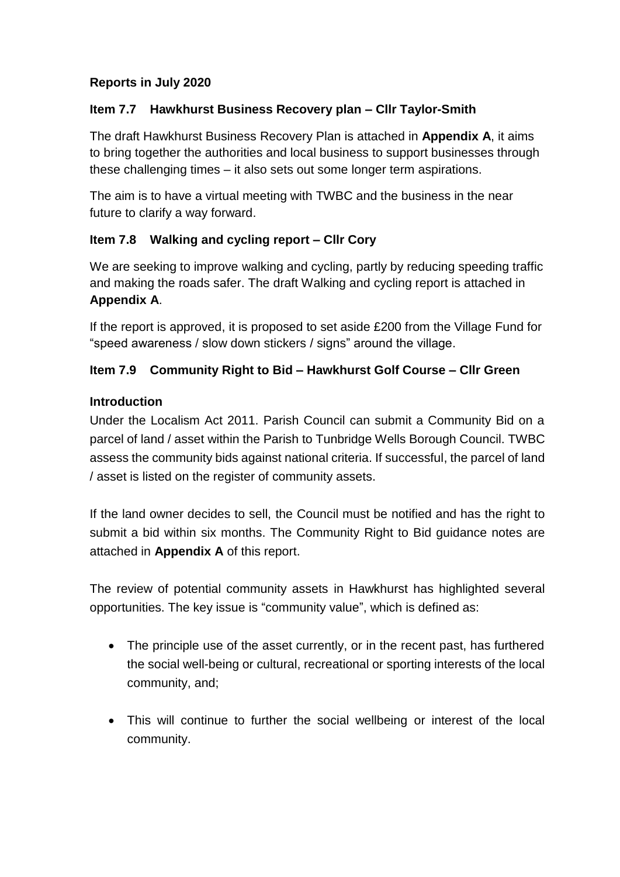# **Reports in July 2020**

## **Item 7.7 Hawkhurst Business Recovery plan – Cllr Taylor-Smith**

The draft Hawkhurst Business Recovery Plan is attached in **Appendix A**, it aims to bring together the authorities and local business to support businesses through these challenging times – it also sets out some longer term aspirations.

The aim is to have a virtual meeting with TWBC and the business in the near future to clarify a way forward.

## **Item 7.8 Walking and cycling report – Cllr Cory**

We are seeking to improve walking and cycling, partly by reducing speeding traffic and making the roads safer. The draft Walking and cycling report is attached in **Appendix A**.

If the report is approved, it is proposed to set aside £200 from the Village Fund for "speed awareness / slow down stickers / signs" around the village.

## **Item 7.9 Community Right to Bid – Hawkhurst Golf Course – Cllr Green**

### **Introduction**

Under the Localism Act 2011. Parish Council can submit a Community Bid on a parcel of land / asset within the Parish to Tunbridge Wells Borough Council. TWBC assess the community bids against national criteria. If successful, the parcel of land / asset is listed on the register of community assets.

If the land owner decides to sell, the Council must be notified and has the right to submit a bid within six months. The Community Right to Bid guidance notes are attached in **Appendix A** of this report.

The review of potential community assets in Hawkhurst has highlighted several opportunities. The key issue is "community value", which is defined as:

- The principle use of the asset currently, or in the recent past, has furthered the social well-being or cultural, recreational or sporting interests of the local community, and;
- This will continue to further the social wellbeing or interest of the local community.